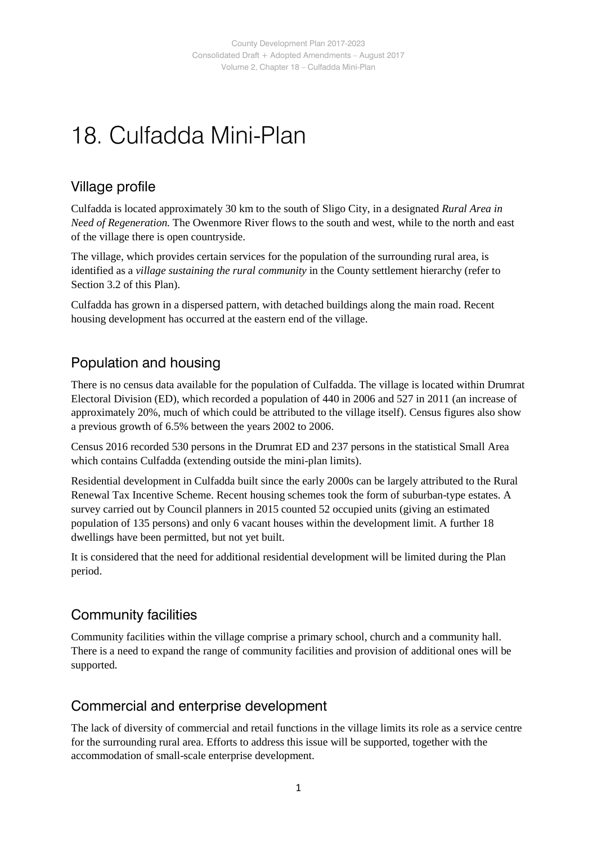## 18. Culfadda Mini-Plan

#### Village profile

Culfadda is located approximately 30 km to the south of Sligo City, in a designated *Rural Area in Need of Regeneration.* The Owenmore River flows to the south and west, while to the north and east of the village there is open countryside.

The village, which provides certain services for the population of the surrounding rural area, is identified as a *village sustaining the rural community* in the County settlement hierarchy (refer to Section 3.2 of this Plan).

Culfadda has grown in a dispersed pattern, with detached buildings along the main road. Recent housing development has occurred at the eastern end of the village.

### Population and housing

There is no census data available for the population of Culfadda. The village is located within Drumrat Electoral Division (ED), which recorded a population of 440 in 2006 and 527 in 2011 (an increase of approximately 20%, much of which could be attributed to the village itself). Census figures also show a previous growth of 6.5% between the years 2002 to 2006.

Census 2016 recorded 530 persons in the Drumrat ED and 237 persons in the statistical Small Area which contains Culfadda (extending outside the mini-plan limits).

Residential development in Culfadda built since the early 2000s can be largely attributed to the Rural Renewal Tax Incentive Scheme. Recent housing schemes took the form of suburban-type estates. A survey carried out by Council planners in 2015 counted 52 occupied units (giving an estimated population of 135 persons) and only 6 vacant houses within the development limit. A further 18 dwellings have been permitted, but not yet built.

It is considered that the need for additional residential development will be limited during the Plan period.

### Community facilities

Community facilities within the village comprise a primary school, church and a community hall. There is a need to expand the range of community facilities and provision of additional ones will be supported.

### Commercial and enterprise development

The lack of diversity of commercial and retail functions in the village limits its role as a service centre for the surrounding rural area. Efforts to address this issue will be supported, together with the accommodation of small-scale enterprise development.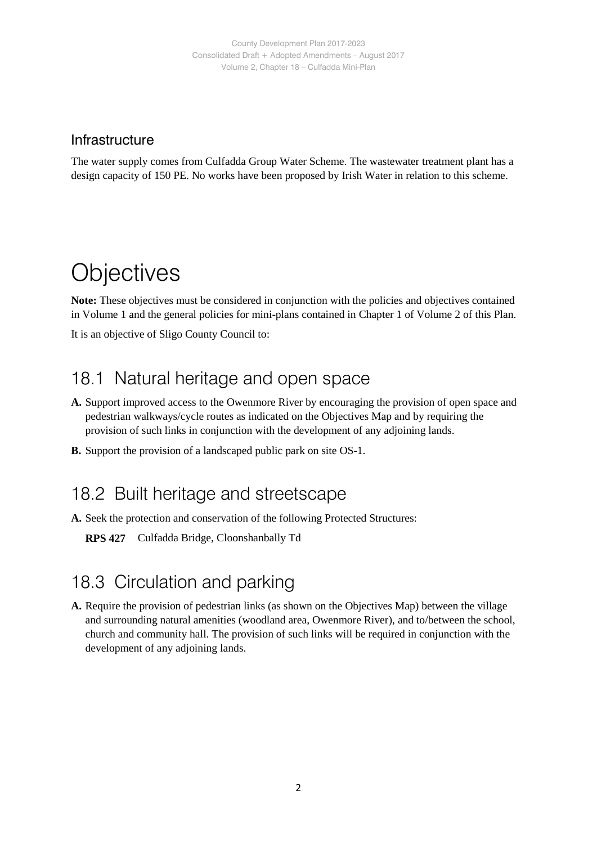#### Infrastructure

The water supply comes from Culfadda Group Water Scheme. The wastewater treatment plant has a design capacity of 150 PE. No works have been proposed by Irish Water in relation to this scheme.

## **Objectives**

**Note:** These objectives must be considered in conjunction with the policies and objectives contained in Volume 1 and the general policies for mini-plans contained in Chapter 1 of Volume 2 of this Plan.

It is an objective of Sligo County Council to:

### 18.1 Natural heritage and open space

- **A.** Support improved access to the Owenmore River by encouraging the provision of open space and pedestrian walkways/cycle routes as indicated on the Objectives Map and by requiring the provision of such links in conjunction with the development of any adjoining lands.
- **B.** Support the provision of a landscaped public park on site OS-1.

### 18.2 Built heritage and streetscape

**A.** Seek the protection and conservation of the following Protected Structures:

**RPS 427** Culfadda Bridge, Cloonshanbally Td

## 18.3 Circulation and parking

**A.** Require the provision of pedestrian links (as shown on the Objectives Map) between the village and surrounding natural amenities (woodland area, Owenmore River), and to/between the school, church and community hall. The provision of such links will be required in conjunction with the development of any adjoining lands.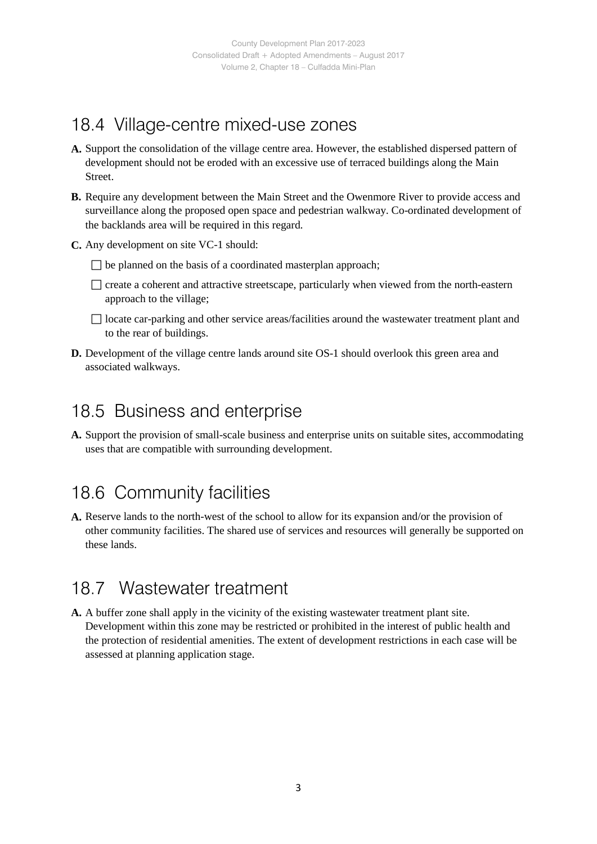## 18.4 Village-centre mixed-use zones

- **A.** Support the consolidation of the village centre area. However, the established dispersed pattern of development should not be eroded with an excessive use of terraced buildings along the Main Street.
- **B.** Require any development between the Main Street and the Owenmore River to provide access and surveillance along the proposed open space and pedestrian walkway. Co-ordinated development of the backlands area will be required in this regard.
- **C.** Any development on site VC-1 should:
	- $\Box$  be planned on the basis of a coordinated masterplan approach;
	- $\Box$  create a coherent and attractive streetscape, particularly when viewed from the north-eastern approach to the village;
	- $\Box$  locate car-parking and other service areas/facilities around the wastewater treatment plant and to the rear of buildings.
- **D.** Development of the village centre lands around site OS-1 should overlook this green area and associated walkways.

### 18.5 Business and enterprise

**A.** Support the provision of small-scale business and enterprise units on suitable sites, accommodating uses that are compatible with surrounding development.

## 18.6 Community facilities

**A.** Reserve lands to the north-west of the school to allow for its expansion and/or the provision of other community facilities. The shared use of services and resources will generally be supported on these lands.

### 18.7 Wastewater treatment

**A.** A buffer zone shall apply in the vicinity of the existing wastewater treatment plant site. Development within this zone may be restricted or prohibited in the interest of public health and the protection of residential amenities. The extent of development restrictions in each case will be assessed at planning application stage.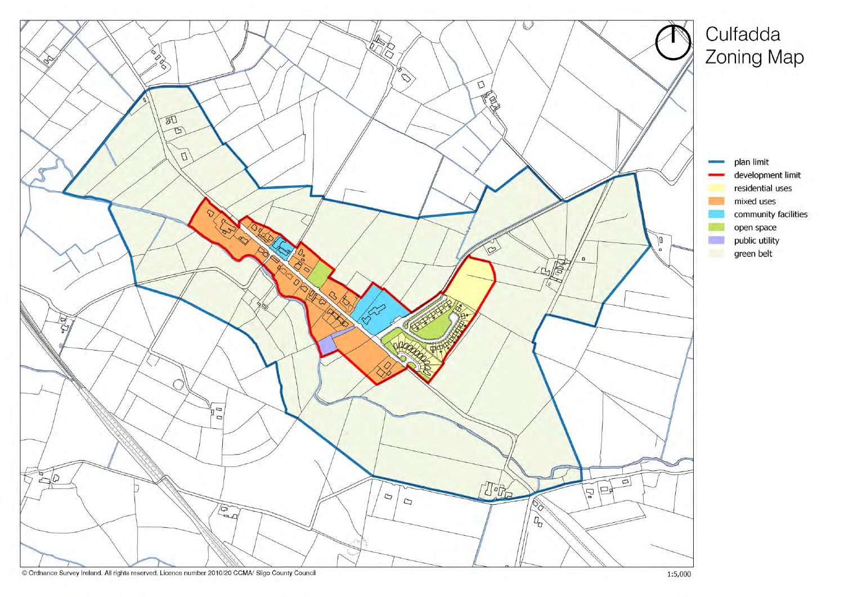

# Culfadda Zoning Map

plan limit development limit residential uses mixed uses community facilities open space public utility green belt

**ISBN**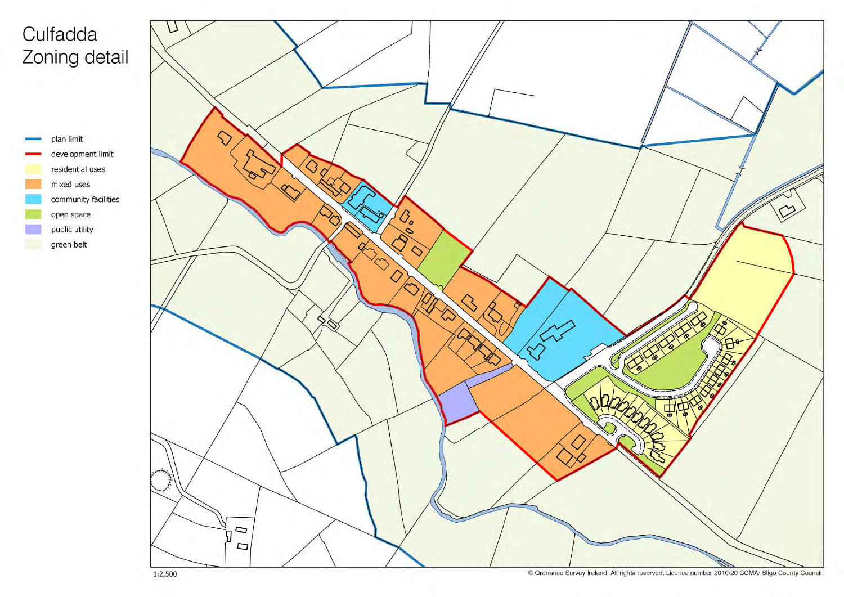# Culfadda Zoning detail





© Ordnance Survey Ireland. All rights reserved. Licence number 2010/20 CCMA/ Sligo County Council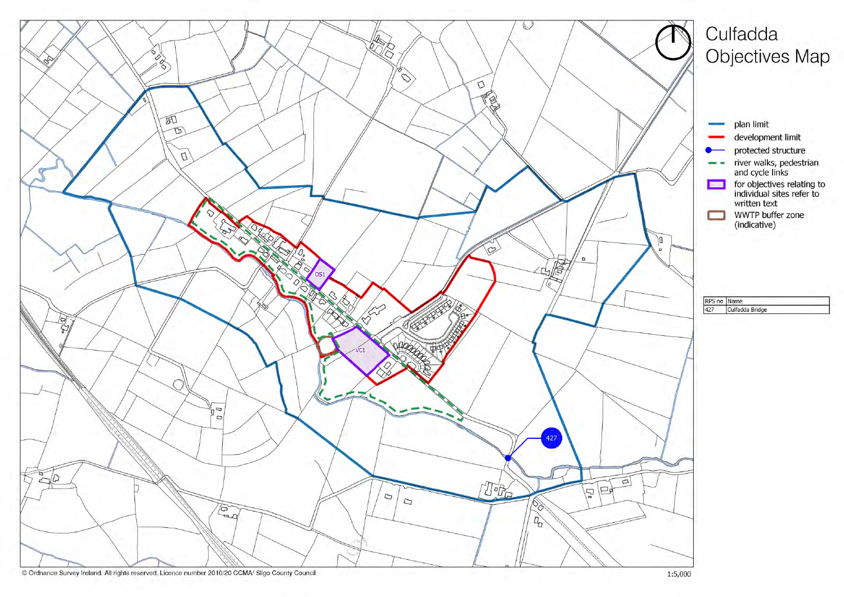